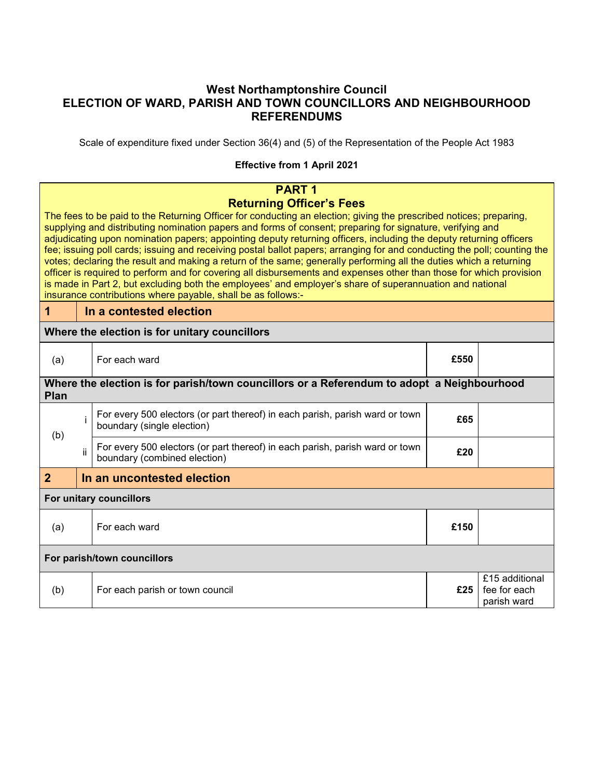## **West Northamptonshire Council ELECTION OF WARD, PARISH AND TOWN COUNCILLORS AND NEIGHBOURHOOD REFERENDUMS**

Scale of expenditure fixed under Section 36(4) and (5) of the Representation of the People Act 1983

## **Effective from 1 April 2021**

|                                                                                                                                                                                                                                                                                                                                                                                                                                                                                                                                                                                                                                                                                                                                                                                                                                                                                                                                               | <b>PART1</b>          |                                                                                                              |     |                                               |
|-----------------------------------------------------------------------------------------------------------------------------------------------------------------------------------------------------------------------------------------------------------------------------------------------------------------------------------------------------------------------------------------------------------------------------------------------------------------------------------------------------------------------------------------------------------------------------------------------------------------------------------------------------------------------------------------------------------------------------------------------------------------------------------------------------------------------------------------------------------------------------------------------------------------------------------------------|-----------------------|--------------------------------------------------------------------------------------------------------------|-----|-----------------------------------------------|
| <b>Returning Officer's Fees</b><br>The fees to be paid to the Returning Officer for conducting an election; giving the prescribed notices; preparing,<br>supplying and distributing nomination papers and forms of consent; preparing for signature, verifying and<br>adjudicating upon nomination papers; appointing deputy returning officers, including the deputy returning officers<br>fee; issuing poll cards; issuing and receiving postal ballot papers; arranging for and conducting the poll; counting the<br>votes; declaring the result and making a return of the same; generally performing all the duties which a returning<br>officer is required to perform and for covering all disbursements and expenses other than those for which provision<br>is made in Part 2, but excluding both the employees' and employer's share of superannuation and national<br>insurance contributions where payable, shall be as follows:- |                       |                                                                                                              |     |                                               |
| $\overline{1}$                                                                                                                                                                                                                                                                                                                                                                                                                                                                                                                                                                                                                                                                                                                                                                                                                                                                                                                                |                       | In a contested election                                                                                      |     |                                               |
|                                                                                                                                                                                                                                                                                                                                                                                                                                                                                                                                                                                                                                                                                                                                                                                                                                                                                                                                               |                       | Where the election is for unitary councillors                                                                |     |                                               |
| (a)                                                                                                                                                                                                                                                                                                                                                                                                                                                                                                                                                                                                                                                                                                                                                                                                                                                                                                                                           | For each ward<br>£550 |                                                                                                              |     |                                               |
| <b>Plan</b>                                                                                                                                                                                                                                                                                                                                                                                                                                                                                                                                                                                                                                                                                                                                                                                                                                                                                                                                   |                       | Where the election is for parish/town councillors or a Referendum to adopt a Neighbourhood                   |     |                                               |
| (b)                                                                                                                                                                                                                                                                                                                                                                                                                                                                                                                                                                                                                                                                                                                                                                                                                                                                                                                                           | İ                     | For every 500 electors (or part thereof) in each parish, parish ward or town<br>boundary (single election)   | £65 |                                               |
|                                                                                                                                                                                                                                                                                                                                                                                                                                                                                                                                                                                                                                                                                                                                                                                                                                                                                                                                               | ii                    | For every 500 electors (or part thereof) in each parish, parish ward or town<br>boundary (combined election) | £20 |                                               |
| $\overline{2}$                                                                                                                                                                                                                                                                                                                                                                                                                                                                                                                                                                                                                                                                                                                                                                                                                                                                                                                                |                       | In an uncontested election                                                                                   |     |                                               |
| For unitary councillors                                                                                                                                                                                                                                                                                                                                                                                                                                                                                                                                                                                                                                                                                                                                                                                                                                                                                                                       |                       |                                                                                                              |     |                                               |
| For each ward<br>£150<br>(a)                                                                                                                                                                                                                                                                                                                                                                                                                                                                                                                                                                                                                                                                                                                                                                                                                                                                                                                  |                       |                                                                                                              |     |                                               |
| For parish/town councillors                                                                                                                                                                                                                                                                                                                                                                                                                                                                                                                                                                                                                                                                                                                                                                                                                                                                                                                   |                       |                                                                                                              |     |                                               |
| (b)                                                                                                                                                                                                                                                                                                                                                                                                                                                                                                                                                                                                                                                                                                                                                                                                                                                                                                                                           |                       | For each parish or town council                                                                              | £25 | £15 additional<br>fee for each<br>parish ward |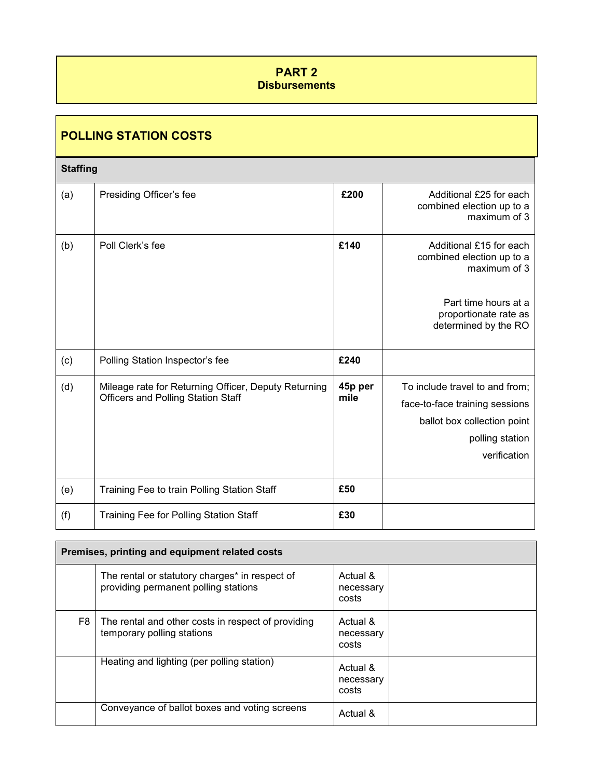## **PART 2 Disbursements**

## **POLLING STATION COSTS**

#### **Staffing**

| (a) | Presiding Officer's fee                                                                           | £200            | Additional £25 for each<br>combined election up to a<br>maximum of 3                                                               |
|-----|---------------------------------------------------------------------------------------------------|-----------------|------------------------------------------------------------------------------------------------------------------------------------|
| (b) | Poll Clerk's fee                                                                                  | £140            | Additional £15 for each<br>combined election up to a<br>maximum of 3                                                               |
|     |                                                                                                   |                 | Part time hours at a<br>proportionate rate as<br>determined by the RO                                                              |
| (c) | Polling Station Inspector's fee                                                                   | £240            |                                                                                                                                    |
| (d) | Mileage rate for Returning Officer, Deputy Returning<br><b>Officers and Polling Station Staff</b> | 45p per<br>mile | To include travel to and from;<br>face-to-face training sessions<br>ballot box collection point<br>polling station<br>verification |
| (e) | Training Fee to train Polling Station Staff                                                       | £50             |                                                                                                                                    |
| (f) | <b>Training Fee for Polling Station Staff</b>                                                     | £30             |                                                                                                                                    |

| Premises, printing and equipment related costs |                                                                                        |                                |  |
|------------------------------------------------|----------------------------------------------------------------------------------------|--------------------------------|--|
|                                                | The rental or statutory charges* in respect of<br>providing permanent polling stations | Actual &<br>necessary<br>costs |  |
| F8                                             | The rental and other costs in respect of providing<br>temporary polling stations       | Actual &<br>necessary<br>costs |  |
|                                                | Heating and lighting (per polling station)                                             | Actual &<br>necessary<br>costs |  |
|                                                | Conveyance of ballot boxes and voting screens                                          | Actual &                       |  |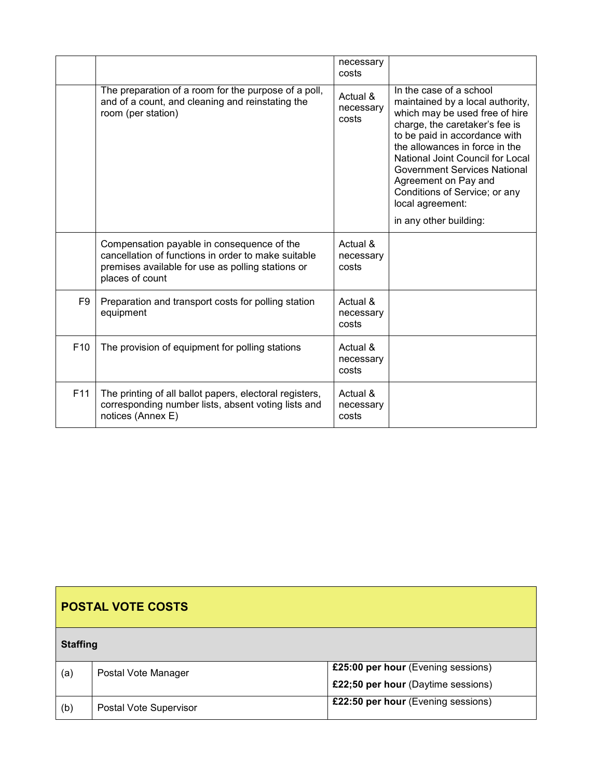|                 |                                                                                                                                                                           | necessary<br>costs             |                                                                                                                                                                                                                                                                                                                                                                                      |
|-----------------|---------------------------------------------------------------------------------------------------------------------------------------------------------------------------|--------------------------------|--------------------------------------------------------------------------------------------------------------------------------------------------------------------------------------------------------------------------------------------------------------------------------------------------------------------------------------------------------------------------------------|
|                 | The preparation of a room for the purpose of a poll,<br>and of a count, and cleaning and reinstating the<br>room (per station)                                            | Actual &<br>necessary<br>costs | In the case of a school<br>maintained by a local authority,<br>which may be used free of hire<br>charge, the caretaker's fee is<br>to be paid in accordance with<br>the allowances in force in the<br>National Joint Council for Local<br><b>Government Services National</b><br>Agreement on Pay and<br>Conditions of Service; or any<br>local agreement:<br>in any other building: |
|                 | Compensation payable in consequence of the<br>cancellation of functions in order to make suitable<br>premises available for use as polling stations or<br>places of count | Actual &<br>necessary<br>costs |                                                                                                                                                                                                                                                                                                                                                                                      |
| F9              | Preparation and transport costs for polling station<br>equipment                                                                                                          | Actual &<br>necessary<br>costs |                                                                                                                                                                                                                                                                                                                                                                                      |
| F <sub>10</sub> | The provision of equipment for polling stations                                                                                                                           | Actual &<br>necessary<br>costs |                                                                                                                                                                                                                                                                                                                                                                                      |
| F11             | The printing of all ballot papers, electoral registers,<br>corresponding number lists, absent voting lists and<br>notices (Annex E)                                       | Actual &<br>necessary<br>costs |                                                                                                                                                                                                                                                                                                                                                                                      |

| <b>POSTAL VOTE COSTS</b> |                        |                                    |  |
|--------------------------|------------------------|------------------------------------|--|
| <b>Staffing</b>          |                        |                                    |  |
| (a)                      | Postal Vote Manager    | £25:00 per hour (Evening sessions) |  |
|                          |                        | £22;50 per hour (Daytime sessions) |  |
| (b)                      | Postal Vote Supervisor | £22:50 per hour (Evening sessions) |  |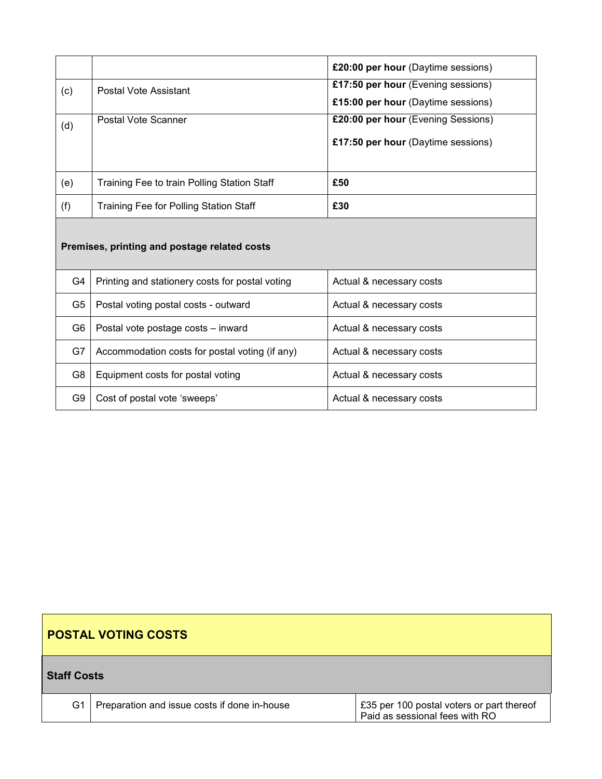|     |                                             | £20:00 per hour (Daytime sessions) |
|-----|---------------------------------------------|------------------------------------|
| (c) | Postal Vote Assistant                       | £17:50 per hour (Evening sessions) |
|     |                                             | £15:00 per hour (Daytime sessions) |
| (d) | Postal Vote Scanner                         | £20:00 per hour (Evening Sessions) |
|     |                                             | £17:50 per hour (Daytime sessions) |
|     |                                             |                                    |
| (e) | Training Fee to train Polling Station Staff | £50                                |
| (f) | Training Fee for Polling Station Staff      | £30                                |

# **Premises, printing and postage related costs**

| G4  | Printing and stationery costs for postal voting | Actual & necessary costs |
|-----|-------------------------------------------------|--------------------------|
| G5. | Postal voting postal costs - outward            | Actual & necessary costs |
| G6  | Postal vote postage costs - inward              | Actual & necessary costs |
| G7  | Accommodation costs for postal voting (if any)  | Actual & necessary costs |
| G8  | Equipment costs for postal voting               | Actual & necessary costs |
| G9  | Cost of postal vote 'sweeps'                    | Actual & necessary costs |

| <b>POSTAL VOTING COSTS</b> |                                              |                                                                             |  |
|----------------------------|----------------------------------------------|-----------------------------------------------------------------------------|--|
| <b>Staff Costs</b>         |                                              |                                                                             |  |
| G1                         | Preparation and issue costs if done in-house | £35 per 100 postal voters or part thereof<br>Paid as sessional fees with RO |  |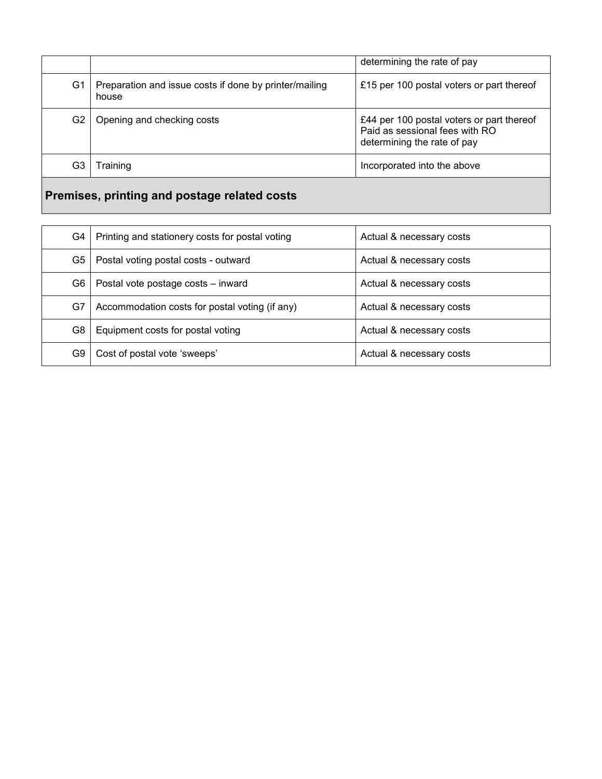|                |                                                                 | determining the rate of pay                                                                                |
|----------------|-----------------------------------------------------------------|------------------------------------------------------------------------------------------------------------|
| G1             | Preparation and issue costs if done by printer/mailing<br>house | £15 per 100 postal voters or part thereof                                                                  |
| G <sub>2</sub> | Opening and checking costs                                      | £44 per 100 postal voters or part thereof<br>Paid as sessional fees with RO<br>determining the rate of pay |
| G3             | raining                                                         | Incorporated into the above                                                                                |
|                |                                                                 |                                                                                                            |

# **Premises, printing and postage related costs**

| G4 | Printing and stationery costs for postal voting | Actual & necessary costs |
|----|-------------------------------------------------|--------------------------|
| G5 | Postal voting postal costs - outward            | Actual & necessary costs |
| G6 | Postal vote postage costs - inward              | Actual & necessary costs |
| G7 | Accommodation costs for postal voting (if any)  | Actual & necessary costs |
| G8 | Equipment costs for postal voting               | Actual & necessary costs |
| G9 | Cost of postal vote 'sweeps'                    | Actual & necessary costs |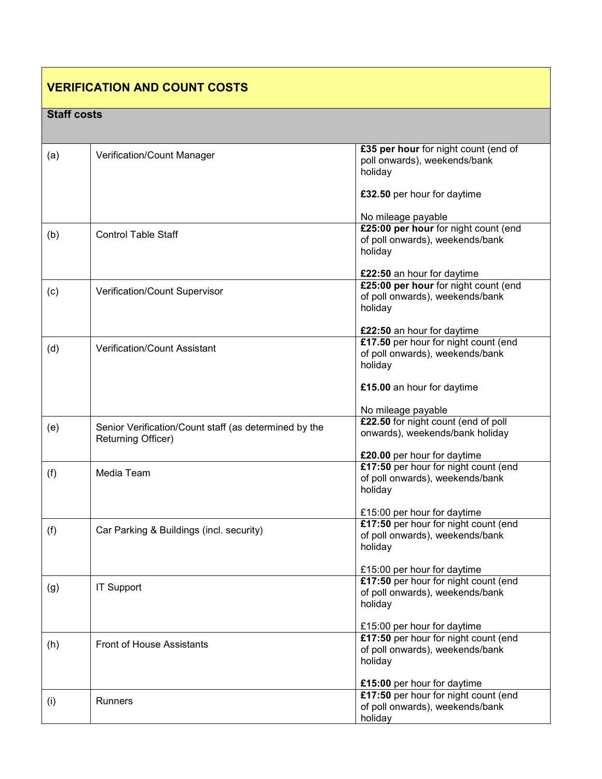| <b>VERIFICATION AND COUNT COSTS</b> |                                                                             |                                                                                                                                        |  |
|-------------------------------------|-----------------------------------------------------------------------------|----------------------------------------------------------------------------------------------------------------------------------------|--|
| <b>Staff costs</b>                  |                                                                             |                                                                                                                                        |  |
| (a)                                 | Verification/Count Manager                                                  | £35 per hour for night count (end of<br>poll onwards), weekends/bank<br>holiday<br>£32.50 per hour for daytime                         |  |
| (b)                                 | <b>Control Table Staff</b>                                                  | No mileage payable<br>£25:00 per hour for night count (end<br>of poll onwards), weekends/bank<br>holiday<br>£22:50 an hour for daytime |  |
| (c)                                 | Verification/Count Supervisor                                               | £25:00 per hour for night count (end<br>of poll onwards), weekends/bank<br>holiday<br>£22:50 an hour for daytime                       |  |
| (d)                                 | Verification/Count Assistant                                                | £17.50 per hour for night count (end<br>of poll onwards), weekends/bank<br>holiday<br>£15.00 an hour for daytime<br>No mileage payable |  |
| (e)                                 | Senior Verification/Count staff (as determined by the<br>Returning Officer) | £22.50 for night count (end of poll<br>onwards), weekends/bank holiday<br>£20.00 per hour for daytime                                  |  |
| (f)                                 | Media Team                                                                  | £17:50 per hour for night count (end<br>of poll onwards), weekends/bank<br>holiday<br>£15:00 per hour for daytime                      |  |
| (f)                                 | Car Parking & Buildings (incl. security)                                    | £17:50 per hour for night count (end<br>of poll onwards), weekends/bank<br>holiday<br>£15:00 per hour for daytime                      |  |
| (g)                                 | <b>IT Support</b>                                                           | £17:50 per hour for night count (end<br>of poll onwards), weekends/bank<br>holiday<br>£15:00 per hour for daytime                      |  |
| (h)                                 | <b>Front of House Assistants</b>                                            | £17:50 per hour for night count (end<br>of poll onwards), weekends/bank<br>holiday                                                     |  |
| (i)                                 | <b>Runners</b>                                                              | £15:00 per hour for daytime<br>£17:50 per hour for night count (end<br>of poll onwards), weekends/bank<br>holiday                      |  |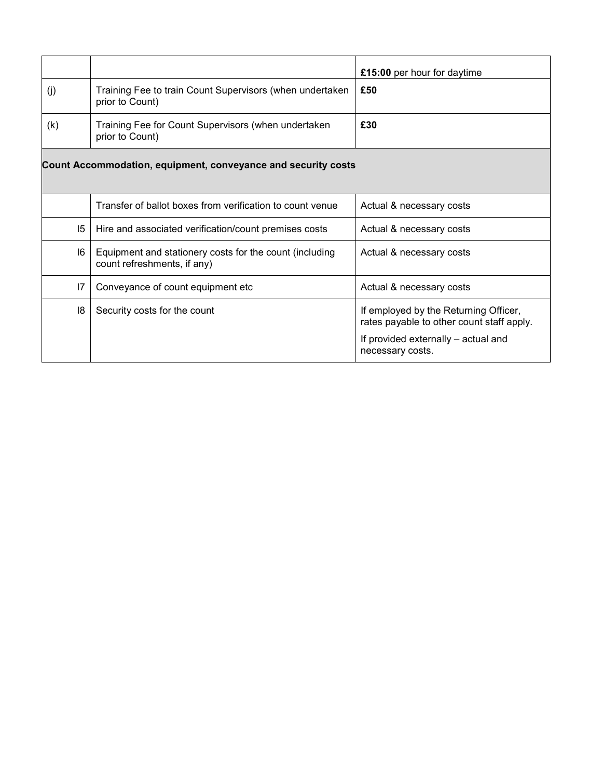| (j) | Training Fee to train Count Supervisors (when undertaken                               | £15:00 per hour for daytime<br>£50                                                 |
|-----|----------------------------------------------------------------------------------------|------------------------------------------------------------------------------------|
|     | prior to Count)                                                                        |                                                                                    |
| (k) | Training Fee for Count Supervisors (when undertaken<br>prior to Count)                 | £30                                                                                |
|     | Count Accommodation, equipment, conveyance and security costs                          |                                                                                    |
|     |                                                                                        |                                                                                    |
|     | Transfer of ballot boxes from verification to count venue                              | Actual & necessary costs                                                           |
| 15  | Hire and associated verification/count premises costs                                  | Actual & necessary costs                                                           |
| 16  | Equipment and stationery costs for the count (including<br>count refreshments, if any) | Actual & necessary costs                                                           |
| 17  | Conveyance of count equipment etc                                                      | Actual & necessary costs                                                           |
| 18  | Security costs for the count                                                           | If employed by the Returning Officer,<br>rates payable to other count staff apply. |
|     |                                                                                        | If provided externally - actual and<br>necessary costs.                            |
|     |                                                                                        |                                                                                    |